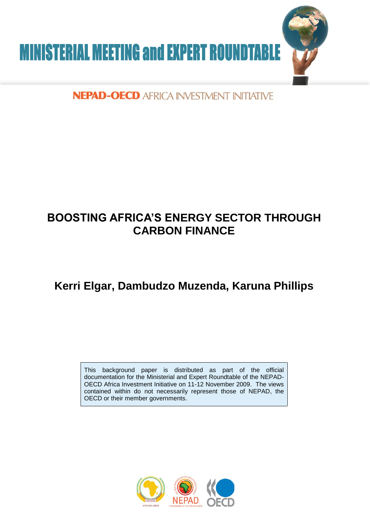

# NEPAD-OECD AFRICA INVESTMENT INITIATIVE

# **BOOSTING AFRICA'S ENERGY SECTOR THROUGH CARBON FINANCE**

# **Kerri Elgar, Dambudzo Muzenda, Karuna Phillips**

This background paper is distributed as part of the official documentation for the Ministerial and Expert Roundtable of the NEPAD-OECD Africa Investment Initiative on 11-12 November 2009. The views contained within do not necessarily represent those of NEPAD, the OECD or their member governments.

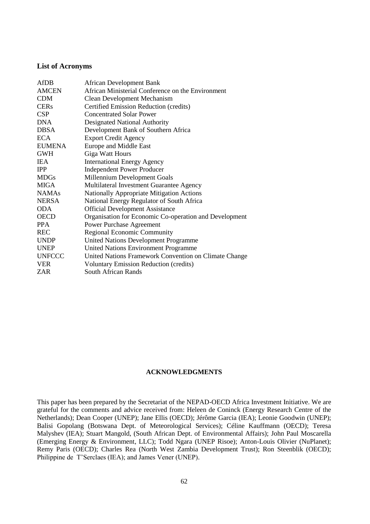#### **List of Acronyms**

| AfDB          | <b>African Development Bank</b>                        |
|---------------|--------------------------------------------------------|
| <b>AMCEN</b>  | African Ministerial Conference on the Environment      |
| <b>CDM</b>    | <b>Clean Development Mechanism</b>                     |
| <b>CERs</b>   | Certified Emission Reduction (credits)                 |
| <b>CSP</b>    | <b>Concentrated Solar Power</b>                        |
| <b>DNA</b>    | Designated National Authority                          |
| <b>DBSA</b>   | Development Bank of Southern Africa                    |
| ECA.          | <b>Export Credit Agency</b>                            |
| <b>EUMENA</b> | Europe and Middle East                                 |
| <b>GWH</b>    | Giga Watt Hours                                        |
| IEA.          | <b>International Energy Agency</b>                     |
| <b>IPP</b>    | <b>Independent Power Producer</b>                      |
| <b>MDGs</b>   | Millennium Development Goals                           |
| <b>MIGA</b>   | Multilateral Investment Guarantee Agency               |
| <b>NAMAs</b>  | <b>Nationally Appropriate Mitigation Actions</b>       |
| <b>NERSA</b>  | National Energy Regulator of South Africa              |
| <b>ODA</b>    | <b>Official Development Assistance</b>                 |
| <b>OECD</b>   | Organisation for Economic Co-operation and Development |
| <b>PPA</b>    | <b>Power Purchase Agreement</b>                        |
| <b>REC</b>    | Regional Economic Community                            |
| <b>UNDP</b>   | <b>United Nations Development Programme</b>            |
| <b>UNEP</b>   | United Nations Environment Programme                   |
| <b>UNFCCC</b> | United Nations Framework Convention on Climate Change  |
| <b>VER</b>    | <b>Voluntary Emission Reduction (credits)</b>          |
| ZAR           | South African Rands                                    |
|               |                                                        |

#### **ACKNOWLEDGMENTS**

This paper has been prepared by the Secretariat of the NEPAD-OECD Africa Investment Initiative. We are grateful for the comments and advice received from: Heleen de Coninck (Energy Research Centre of the Netherlands); Dean Cooper (UNEP); Jane Ellis (OECD); Jérôme Garcia (IEA); Leonie Goodwin (UNEP); Balisi Gopolang (Botswana Dept. of Meteorological Services); Céline Kauffmann (OECD); Teresa Malyshev (IEA); Stuart Mangold, (South African Dept. of Environmental Affairs); John Paul Moscarella (Emerging Energy & Environment, LLC); Todd Ngara (UNEP Risoe); Anton-Louis Olivier (NuPlanet); Remy Paris (OECD); Charles Rea (North West Zambia Development Trust); Ron Steenblik (OECD); Philippine de T'Serclaes (IEA); and James Vener (UNEP).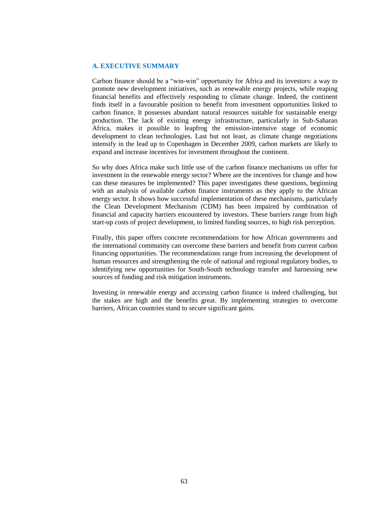#### **A. EXECUTIVE SUMMARY**

Carbon finance should be a "win-win" opportunity for Africa and its investors: a way to promote new development initiatives, such as renewable energy projects, while reaping financial benefits and effectively responding to climate change. Indeed, the continent finds itself in a favourable position to benefit from investment opportunities linked to carbon finance. It possesses abundant natural resources suitable for sustainable energy production. The lack of existing energy infrastructure, particularly in Sub-Saharan Africa, makes it possible to leapfrog the emission-intensive stage of economic development to clean technologies. Last but not least, as climate change negotiations intensify in the lead up to Copenhagen in December 2009, carbon markets are likely to expand and increase incentives for investment throughout the continent.

So why does Africa make such little use of the carbon finance mechanisms on offer for investment in the renewable energy sector? Where are the incentives for change and how can these measures be implemented? This paper investigates these questions, beginning with an analysis of available carbon finance instruments as they apply to the African energy sector. It shows how successful implementation of these mechanisms, particularly the Clean Development Mechanism (CDM) has been impaired by combination of financial and capacity barriers encountered by investors. These barriers range from high start-up costs of project development, to limited funding sources, to high risk perception.

Finally, this paper offers concrete recommendations for how African governments and the international community can overcome these barriers and benefit from current carbon financing opportunities. The recommendations range from increasing the development of human resources and strengthening the role of national and regional regulatory bodies, to identifying new opportunities for South-South technology transfer and harnessing new sources of funding and risk mitigation instruments.

Investing in renewable energy and accessing carbon finance is indeed challenging, but the stakes are high and the benefits great. By implementing strategies to overcome barriers, African countries stand to secure significant gains.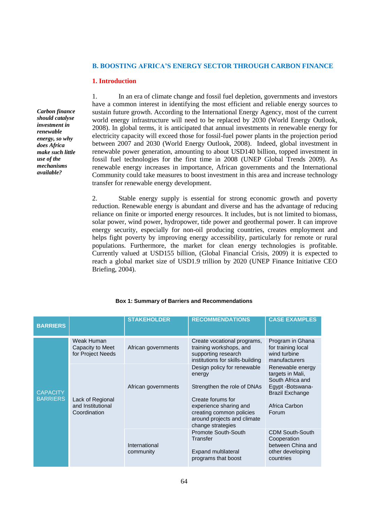#### **B. BOOSTING AFRICA'S ENERGY SECTOR THROUGH CARBON FINANCE**

#### **1. Introduction**

*Carbon finance should catalyse investment in renewable energy, so why does Africa make such little use of the mechanisms available?*

1. In an era of climate change and fossil fuel depletion, governments and investors have a common interest in identifying the most efficient and reliable energy sources to sustain future growth. According to the International Energy Agency, most of the current world energy infrastructure will need to be replaced by 2030 (World Energy Outlook, 2008). In global terms, it is anticipated that annual investments in renewable energy for electricity capacity will exceed those for fossil-fuel power plants in the projection period between 2007 and 2030 (World Energy Outlook, 2008). Indeed, global investment in renewable power generation, amounting to about USD140 billion, topped investment in fossil fuel technologies for the first time in 2008 (UNEP Global Trends 2009). As renewable energy increases in importance, African governments and the International Community could take measures to boost investment in this area and increase technology transfer for renewable energy development.

2. Stable energy supply is essential for strong economic growth and poverty reduction. Renewable energy is abundant and diverse and has the advantage of reducing reliance on finite or imported energy resources. It includes, but is not limited to biomass, solar power, wind power, hydropower, tide power and geothermal power. It can improve energy security, especially for non-oil producing countries, creates employment and helps fight poverty by improving energy accessibility, particularly for remote or rural populations. Furthermore, the market for clean energy technologies is profitable. Currently valued at USD155 billion, (Global Financial Crisis, 2009) it is expected to reach a global market size of USD1.9 trillion by 2020 (UNEP Finance Initiative CEO Briefing, 2004).

| <b>BARRIERS</b>                    |                                                       | <b>STAKEHOLDER</b>         | <b>RECOMMENDATIONS</b>                                                                                                                                                                              | <b>CASE EXAMPLES</b>                                                                                                             |
|------------------------------------|-------------------------------------------------------|----------------------------|-----------------------------------------------------------------------------------------------------------------------------------------------------------------------------------------------------|----------------------------------------------------------------------------------------------------------------------------------|
| <b>CAPACITY</b><br><b>BARRIERS</b> | Weak Human<br>Capacity to Meet<br>for Project Needs   | African governments        | Create vocational programs,<br>training workshops, and<br>supporting research<br>institutions for skills-building                                                                                   | Program in Ghana<br>for training local<br>wind turbine<br>manufacturers                                                          |
|                                    | Lack of Regional<br>and Institutional<br>Coordination | African governments        | Design policy for renewable<br>energy<br>Strengthen the role of DNAs<br>Create forums for<br>experience sharing and<br>creating common policies<br>around projects and climate<br>change strategies | Renewable energy<br>targets in Mali,<br>South Africa and<br>Egypt -Botswana-<br><b>Brazil Exchange</b><br>Africa Carbon<br>Forum |
|                                    |                                                       | International<br>community | Promote South-South<br>Transfer<br><b>Expand multilateral</b><br>programs that boost                                                                                                                | <b>CDM South-South</b><br>Cooperation<br>between China and<br>other developing<br>countries                                      |

#### **Box 1: Summary of Barriers and Recommendations**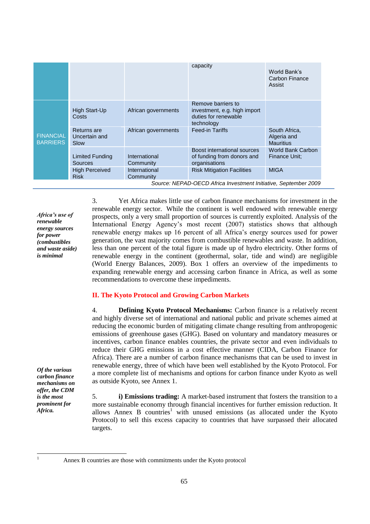|                                                                 |                                             |                            | capacity                                                                                 | World Bank's<br>Carbon Finance<br>Assist         |  |
|-----------------------------------------------------------------|---------------------------------------------|----------------------------|------------------------------------------------------------------------------------------|--------------------------------------------------|--|
| <b>FINANCIAL</b><br><b>BARRIERS</b>                             | <b>High Start-Up</b><br>Costs               | African governments        | Remove barriers to<br>investment, e.g. high import<br>duties for renewable<br>technology |                                                  |  |
|                                                                 | <b>Returns</b> are<br>Uncertain and<br>Slow | African governments        | <b>Feed-in Tariffs</b>                                                                   | South Africa,<br>Algeria and<br><b>Mauritius</b> |  |
|                                                                 | <b>Limited Funding</b><br>Sources           | International<br>Community | Boost international sources<br>of funding from donors and<br>organisations               | <b>World Bank Carbon</b><br>Finance Unit:        |  |
|                                                                 | <b>High Perceived</b><br><b>Risk</b>        | International<br>Community | <b>Risk Mitigation Facilities</b>                                                        | <b>MIGA</b>                                      |  |
| Source: NEPAD-OECD Africa Investment Initiative, September 2009 |                                             |                            |                                                                                          |                                                  |  |

*Africa's use of renewable energy sources for power (combustibles and waste aside) is minimal*

3. Yet Africa makes little use of carbon finance mechanisms for investment in the renewable energy sector. While the continent is well endowed with renewable energy prospects, only a very small proportion of sources is currently exploited. Analysis of the International Energy Agency's most recent (2007) statistics shows that although renewable energy makes up 16 percent of all Africa's energy sources used for power generation, the vast majority comes from combustible renewables and waste. In addition, less than one percent of the total figure is made up of hydro electricity. Other forms of renewable energy in the continent (geothermal, solar, tide and wind) are negligible (World Energy Balances, 2009). Box 1 offers an overview of the impediments to expanding renewable energy and accessing carbon finance in Africa, as well as some recommendations to overcome these impediments.

## **II. The Kyoto Protocol and Growing Carbon Markets**

4. **Defining Kyoto Protocol Mechanisms:** Carbon finance is a relatively recent and highly diverse set of international and national public and private schemes aimed at reducing the economic burden of mitigating climate change resulting from anthropogenic emissions of greenhouse gases (GHG). Based on voluntary and mandatory measures or incentives, carbon finance enables countries, the private sector and even individuals to reduce their GHG emissions in a cost effective manner (CIDA, Carbon Finance for Africa). There are a number of carbon finance mechanisms that can be used to invest in renewable energy, three of which have been well established by the Kyoto Protocol. For a more complete list of mechanisms and options for carbon finance under Kyoto as well as outside Kyoto, see Annex 1.

5. **i) Emissions trading:** A market-based instrument that fosters the transition to a more sustainable economy through financial incentives for further emission reduction*.* It allows Annex B countries<sup>1</sup> with unused emissions (as allocated under the Kyoto Protocol) to sell this excess capacity to countries that have surpassed their allocated targets.

*Of the various carbon finance mechanisms on offer, the CDM is the most prominent for Africa.*

 $\mathbf{1}$ 

Annex B countries are those with commitments under the Kyoto protocol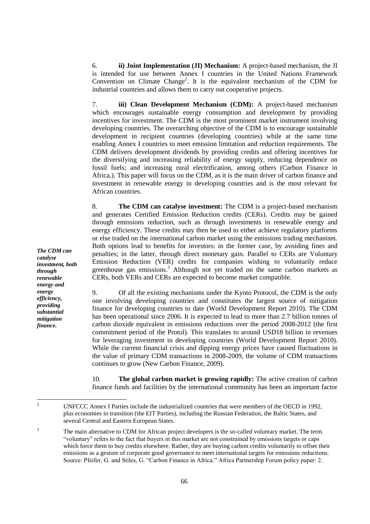6. **ii) Joint Implementation (JI) Mechanism:** A project-based mechanism, the JI is intended for use between Annex I countries in the United Nations Framework Convention on Climate Change<sup>2</sup>. It is the equivalent mechanism of the CDM for industrial countries and allows them to carry out cooperative projects.

7. **iii) Clean Development Mechanism (CDM):** A project-based mechanism which encourages sustainable energy consumption and development by providing incentives for investment. The CDM is the most prominent market instrument involving developing countries. The overarching objective of the CDM is to encourage sustainable development in recipient countries (developing countries) while at the same time enabling Annex I countries to meet emission limitation and reduction requirements. The CDM delivers development dividends by providing credits and offering incentives for the diversifying and increasing reliability of energy supply, reducing dependence on fossil fuels; and increasing rural electrification, among others (Carbon Finance in Africa,). This paper will focus on the CDM, as it is the main driver of carbon finance and investment in renewable energy in developing countries and is the most relevant for African countries.

8. **The CDM can catalyse investment:** The CDM is a project-based mechanism and generates Certified Emission Reduction credits (CERs). Credits may be gained through emissions reduction, such as through investments in renewable energy and energy efficiency. These credits may then be used to either achieve regulatory platforms or else traded on the international carbon market using the emissions trading mechanism. Both options lead to benefits for investors: in the former case, by avoiding fines and penalties; in the latter, through direct monetary gain. Parallel to CERs are Voluntary Emission Reduction (VER) credits for companies wishing to voluntarily reduce greenhouse gas emissions.<sup>3</sup> Although not yet traded on the same carbon markets as CERs, both VERs and CERs are expected to become market compatible.

9. Of all the existing mechanisms under the Kyoto Protocol, the CDM is the only one involving developing countries and constitutes the largest source of mitigation finance for developing countries to date (World Development Report 2010). The CDM has been operational since 2006. It is expected to lead to more than 2.7 billion tonnes of carbon dioxide equivalent in emissions reductions over the period 2008-2012 (the first commitment period of the Protol). This translates to around USD18 billion in revenues for leveraging investment in developing countries (World Development Report 2010). While the current financial crisis and dipping energy prices have caused fluctuations in the value of primary CDM transactions in 2008-2009, the volume of CDM transactions continues to grow (New Carbon Finance, 2009).

10. **The global carbon market is growing rapidly:** The active creation of carbon finance funds and facilities by the international community has been an important factor

*The CDM can catalyse investment, both through renewable energy and energy efficiency, providing substantial mitigation finance.*

 $\overline{c}$ <sup>2</sup> UNFCCC [Annex I](http://unfccc.int/parties_and_observers/parties/annex_i/items/2774.php) Parties include the industrialized countries that were members of the OECD in 1992, plus economies in transition (the EIT Parties), including the Russian Federation, the Baltic States, and several Central and Eastern European States.

<sup>3</sup> The main alternative to CDM for African project developers is the so-called voluntary market. The term ―voluntary‖ refers to the fact that buyers in this market are not constrained by emissions targets or caps which force them to buy credits elsewhere. Rather, they are buying carbon credits voluntarily to offset their emissions as a gesture of corporate good governance to meet international targets for emissions reductions. Source: Pfeifer, G. and Stiles, G. "Carbon Finance in Africa." Africa Partnership Forum policy paper: 2.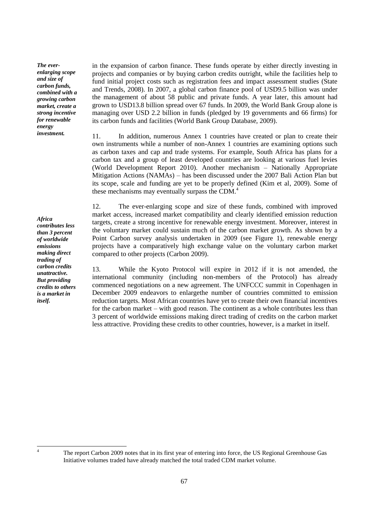*The everenlarging scope and size of carbon funds, combined with a growing carbon market, create a strong incentive for renewable energy investment.*

*Africa contributes less than 3 percent of worldwide emissions making direct trading of carbon credits unattractive. But providing credits to others is a market in itself.*

in the expansion of carbon finance. These funds operate by either directly investing in projects and companies or by buying carbon credits outright, while the facilities help to fund initial project costs such as registration fees and impact assessment studies (State and Trends, 2008). In 2007, a global carbon finance pool of USD9.5 billion was under the management of about 58 public and private funds. A year later, this amount had grown to USD13.8 billion spread over 67 funds. In 2009, the World Bank Group alone is managing over USD 2.2 billion in funds (pledged by 19 governments and 66 firms) for its carbon funds and facilities (World Bank Group Database, 2009).

11. In addition, numerous Annex 1 countries have created or plan to create their own instruments while a number of non-Annex 1 countries are examining options such as carbon taxes and cap and trade systems. For example, South Africa has plans for a carbon tax and a group of least developed countries are looking at various fuel levies (World Development Report 2010). Another mechanism – Nationally Appropriate Mitigation Actions (NAMAs) – has been discussed under the 2007 Bali Action Plan but its scope, scale and funding are yet to be properly defined (Kim et al, 2009). Some of these mechanisms may eventually surpass the CDM. $<sup>4</sup>$ </sup>

12. The ever-enlarging scope and size of these funds, combined with improved market access, increased market compatibility and clearly identified emission reduction targets, create a strong incentive for renewable energy investment. Moreover, interest in the voluntary market could sustain much of the carbon market growth. As shown by a Point Carbon survey analysis undertaken in 2009 (see Figure 1), renewable energy projects have a comparatively high exchange value on the voluntary carbon market compared to other projects (Carbon 2009).

13. While the Kyoto Protocol will expire in 2012 if it is not amended, the international community (including non-members of the Protocol) has already commenced negotiations on a new agreement. The UNFCCC summit in Copenhagen in December 2009 endeavors to enlargethe number of countries committed to emission reduction targets. Most African countries have yet to create their own financial incentives for the carbon market – with good reason. The continent as a whole contributes less than 3 percent of worldwide emissions making direct trading of credits on the carbon market less attractive. Providing these credits to other countries, however, is a market in itself.

 $\overline{4}$ 

The report Carbon 2009 notes that in its first year of entering into force, the US Regional Greenhouse Gas Initiative volumes traded have already matched the total traded CDM market volume.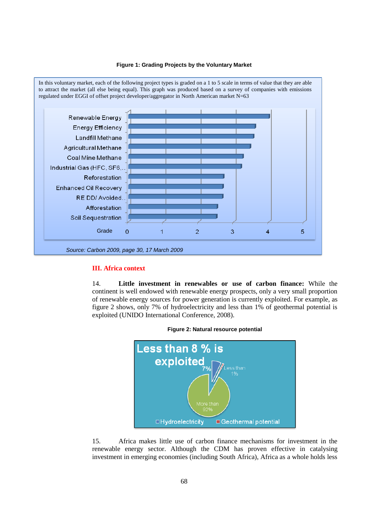



#### **III. Africa context**

14. **Little investment in renewables or use of carbon finance:** While the continent is well endowed with renewable energy prospects, only a very small proportion of renewable energy sources for power generation is currently exploited. For example, as figure 2 shows, only 7% of hydroelectricity and less than 1% of geothermal potential is exploited (UNIDO International Conference, 2008).





15. Africa makes little use of carbon finance mechanisms for investment in the renewable energy sector. Although the CDM has proven effective in catalysing investment in emerging economies (including South Africa), Africa as a whole holds less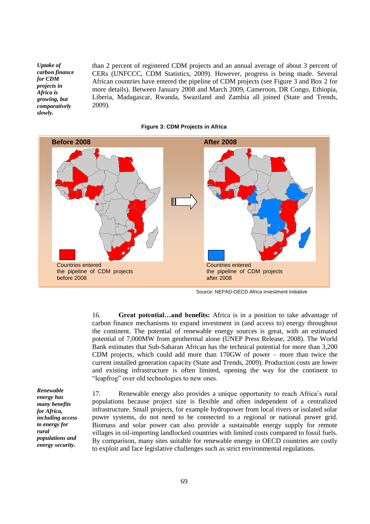*Uptake of carbon finance for CDM projects in Africa is growing, but comparatively slowly.*

than 2 percent of registered CDM projects and an annual average of about 3 percent of CERs (UNFCCC, CDM Statistics, 2009). However, progress is being made. Several African countries have entered the pipeline of CDM projects (see Figure 3 and Box 2 for more details). Between January 2008 and March 2009, Cameroon, DR Congo, Ethiopia, Liberia, Madagascar, Rwanda, Swaziland and Zambia all joined (State and Trends, 2009).

# Countries entered the pipeline of CDM projects after 2008 **Before 2008 After 2008** Countries entered the pipeline of CDM projects before 2008

#### **Figure 3: CDM Projects in Africa**

Source: NEPAD-OECD Africa Investment Initiative

16. **Great potential…and benefits:** Africa is in a position to take advantage of carbon finance mechanisms to expand investment in (and access to) energy throughout the continent. The potential of renewable energy sources is great, with an estimated potential of 7,000MW from geothermal alone (UNEP Press Release, 2008). The World Bank estimates that Sub-Saharan African has the technical potential for more than 3,200 CDM projects, which could add more than 170GW of power – more than twice the current installed generation capacity (State and Trends, 2009). Production costs are lower and existing infrastructure is often limited, opening the way for the continent to "leapfrog" over old technologies to new ones.

*Renewable energy has many benefits for Africa, including access to energy for rural populations and energy security.*

17. Renewable energy also provides a unique opportunity to reach Africa's rural populations because project size is flexible and often independent of a centralized infrastructure. Small projects, for example hydropower from local rivers or isolated solar power systems, do not need to be connected to a regional or national power grid. Biomass and solar power can also provide a sustainable energy supply for remote villages in oil-importing landlocked countries with limited costs compared to fossil fuels. By comparison, many sites suitable for renewable energy in OECD countries are costly to exploit and face legislative challenges such as strict environmental regulations.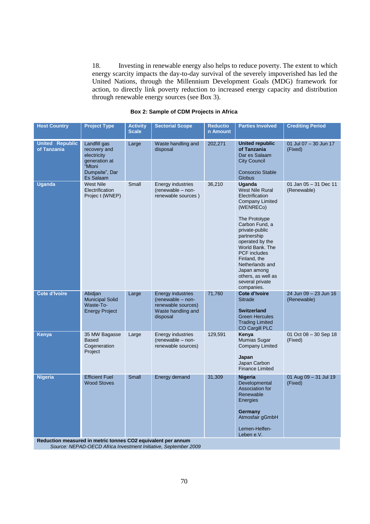18. Investing in renewable energy also helps to reduce poverty. The extent to which energy scarcity impacts the day-to-day survival of the severely impoverished has led the United Nations, through the Millennium Development Goals (MDG) framework for action, to directly link poverty reduction to increased energy capacity and distribution through renewable energy sources (see Box 3).

| <b>Host Country</b>                   | <b>Project Type</b>                                                                                                | <b>Activity</b><br><b>Scale</b> | <b>Sectorial Scope</b>                                                                                | <b>Reductio</b><br>n Amount | <b>Parties Involved</b>                                                                                                                                                                                                                                                                                                              | <b>Crediting Period</b>              |
|---------------------------------------|--------------------------------------------------------------------------------------------------------------------|---------------------------------|-------------------------------------------------------------------------------------------------------|-----------------------------|--------------------------------------------------------------------------------------------------------------------------------------------------------------------------------------------------------------------------------------------------------------------------------------------------------------------------------------|--------------------------------------|
| <b>United Republic</b><br>of Tanzania | Landfill gas<br>recovery and<br>electricity<br>generation at<br>"Mtoni<br>Dumpsite", Dar<br>Es Salaam              | Large                           | Waste handling and<br>disposal                                                                        | 202,271                     | <b>United republic</b><br>of Tanzania<br>Dar es Salaam<br><b>City Council</b><br><b>Consorzio Stable</b><br><b>Globus</b>                                                                                                                                                                                                            | 01 Jul 07 - 30 Jun 17<br>(Fixed)     |
| <b>Uganda</b>                         | <b>West Nile</b><br>Electrification<br>Project (WNEP)                                                              | Small                           | Energy industries<br>(renewable - non-<br>renewable sources)                                          | 36,210                      | Uganda<br><b>West Nile Rural</b><br>Electrification<br><b>Company Limited</b><br>(WENRECo)<br>The Prototype<br>Carbon Fund, a<br>private-public<br>partnership<br>operated by the<br>World Bank. The<br><b>PCF</b> includes<br>Finland, the<br>Netherlands and<br>Japan among<br>others, as well as<br>several private<br>companies. | 01 Jan 05 - 31 Dec 11<br>(Renewable) |
| <b>Cote d'Ivoire</b>                  | Abidjan<br><b>Municipal Solid</b><br>Waste-To-<br><b>Energy Project</b>                                            | Large                           | <b>Energy industries</b><br>(renewable - non-<br>renewable sources)<br>Waste handling and<br>disposal | 71,760                      | Cote d'Ivoire<br><b>Sitrade</b><br><b>Switzerland</b><br><b>Green Hercules</b><br><b>Trading Limited</b><br>CO Cargill PLC                                                                                                                                                                                                           | 24 Jun 09 - 23 Jun 16<br>(Renewable) |
| Kenya                                 | 35 MW Bagasse<br><b>Based</b><br>Cogeneration<br>Project                                                           | Large                           | Energy industries<br>(renewable - non-<br>renewable sources)                                          | 129,591                     | Kenya<br>Mumias Sugar<br><b>Company Limited</b><br>Japan<br>Japan Carbon<br><b>Finance Limited</b>                                                                                                                                                                                                                                   | 01 Oct 08 - 30 Sep 18<br>(Fixed)     |
| <b>Nigeria</b>                        | <b>Efficient Fuel</b><br><b>Wood Stoves</b><br><b>Poduction moneured in metric tennes CO2 equivalent per annum</b> | <b>Small</b>                    | Energy demand                                                                                         | 31,309                      | <b>Nigeria</b><br>Developmental<br>Association for<br>Renewable<br>Energies<br>Germany<br>Atmosfair gGmbH<br>Lemen-Helfen-<br>Leben e.V.                                                                                                                                                                                             | 01 Aug 09 - 31 Jul 19<br>(Fixed)     |

#### **Box 2: Sample of CDM Projects in Africa**

**Reduction measured in metric tonnes CO2 equivalent per annum**

*Source: NEPAD-OECD Africa Investment Initiative, September 2009*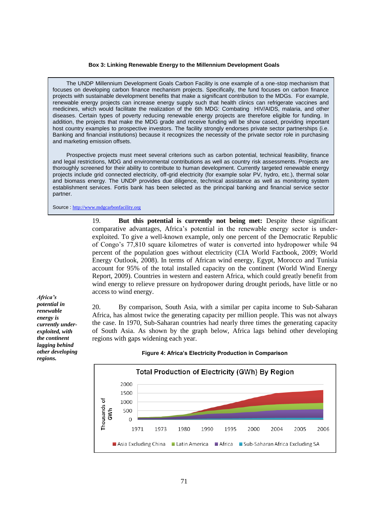#### **Box 3: Linking Renewable Energy to the Millennium Development Goals**

The UNDP Millennium Development Goals Carbon Facility is one example of a one-stop mechanism that focuses on developing carbon finance mechanism projects. Specifically, the fund focuses on carbon finance projects with sustainable development benefits that make a significant contribution to the MDGs. For example, renewable energy projects can increase energy supply such that health clinics can refrigerate vaccines and medicines, which would facilitate the realization of the 6th MDG: Combating HIV/AIDS, malaria, and other diseases. Certain types of poverty reducing renewable energy projects are therefore eligible for funding. In addition, the projects that make the MDG grade and receive funding will be show cased, providing important host country examples to prospective investors. The facility strongly endorses private sector partnerships (i.e. Banking and financial institutions) because it recognizes the necessity of the private sector role in purchasing and marketing emission offsets.

Prospective projects must meet several criterions such as carbon potential, technical feasibility, finance and legal restrictions, MDG and environmental contributions as well as country risk assessments. Projects are thoroughly screened for their ability to contribute to human development. Currently targeted renewable energy projects include grid connected electricity, off-grid electricity (for example solar PV, hydro, etc.), thermal solar and biomass energy. The UNDP provides due diligence, technical assistance as well as monitoring system establishment services. Fortis bank has been selected as the principal banking and financial service sector partner.

Source [http://www.mdgcarbonfacility.org](http://www.mdgcarbonfacility.org/)

19. **But this potential is currently not being met:** Despite these significant comparative advantages, Africa's potential in the renewable energy sector is underexploited. To give a well-known example, only one percent of the Democratic Republic of Congo's 77,810 square kilometres of water is converted into hydropower while 94 percent of the population goes without electricity (CIA World Factbook, 2009; World Energy Outlook, 2008). In terms of African wind energy, Egypt, Morocco and Tunisia account for 95% of the total installed capacity on the continent (World Wind Energy Report, 2009). Countries in western and eastern Africa, which could greatly benefit from wind energy to relieve pressure on hydropower during drought periods, have little or no access to wind energy.

*Africa's potential in renewable energy is currently underexploited, with the continent lagging behind other developing regions.*

20. By comparison, South Asia, with a similar per capita income to Sub-Saharan Africa, has almost twice the generating capacity per million people. This was not always the case. In 1970, Sub-Saharan countries had nearly three times the generating capacity of South Asia. As shown by the graph below, Africa lags behind other developing regions with gaps widening each year.



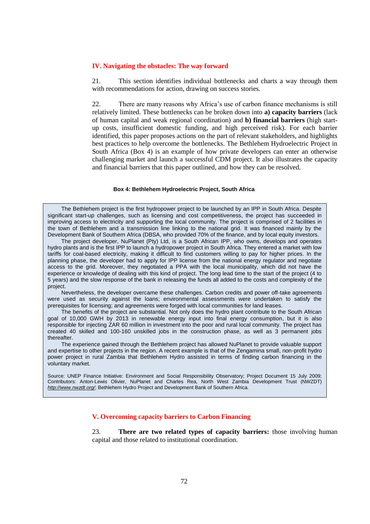#### **IV. Navigating the obstacles: The way forward**

21. This section identifies individual bottlenecks and charts a way through them with recommendations for action, drawing on success stories.

22. There are many reasons why Africa's use of carbon finance mechanisms is still relatively limited. These bottlenecks can be broken down into **a) capacity barriers** (lack of human capital and weak regional coordination) and **b) financial barriers** (high startup costs, insufficient domestic funding, and high perceived risk). For each barrier identified, this paper proposes actions on the part of relevant stakeholders, and highlights best practices to help overcome the bottlenecks. The Bethlehem Hydroelectric Project in South Africa (Box 4) is an example of how private developers can enter an otherwise challenging market and launch a successful CDM project. It also illustrates the capacity and financial barriers that this paper outlined, and how they can be resolved.

#### **Box 4: Bethlehem Hydroelectric Project, South Africa**

The Bethlehem project is the first hydropower project to be launched by an IPP in South Africa. Despite significant start-up challenges, such as licensing and cost competitiveness, the project has succeeded in improving access to electricity and supporting the local community. The project is comprised of 2 facilities in the town of Bethlehem and a transmission line linking to the national grid. It was financed mainly by the Development Bank of Southern Africa (DBSA, who provided 70% of the finance, and by local equity investors.

The project developer, NuPlanet (Pty) Ltd, is a South African IPP, who owns, develops and operates hydro plants and is the first IPP to launch a hydropower project in South Africa. They entered a market with low tariffs for coal-based electricity, making it difficult to find customers willing to pay for higher prices. In the planning phase, the developer had to apply for IPP license from the national energy regulator and negotiate access to the grid. Moreover, they negotiated a PPA with the local municipality, which did not have the experience or knowledge of dealing with this kind of project. The long lead time to the start of the project (4 to 5 years) and the slow response of the bank in releasing the funds all added to the costs and complexity of the project.

Nevertheless, the developer overcame these challenges. Carbon credits and power off-take agreements were used as security against the loans; environmental assessments were undertaken to satisfy the prerequisites for licensing; and agreements were forged with local communities for land leases.

The benefits of the project are substantial. Not only does the hydro plant contribute to the South African goal of 10,000 GWH by 2013 in renewable energy input into final energy consumption, but it is also responsible for injecting ZAR 60 million in investment into the poor and rural local community. The project has created 40 skilled and 100-160 unskilled jobs in the construction phase, as well as 3 permanent jobs thereafter.

The experience gained through the Bethlehem project has allowed NuPlanet to provide valuable support and expertise to other projects in the region. A recent example is that of the Zengamina small, non-profit hydro power project in rural Zambia that Bethlehem Hydro assisted in terms of finding carbon financing in the voluntary market.

Source: UNEP Finance Initiative: Environment and Social Responsibility Observatory; Project Document 15 July 2009; Contributors: Anton-Lewis Olivier, NuPlanet and Charles Rea, North West Zambia Development Trust (NWZDT) *<http://www.nwzdt.org/>*; Bethlehem Hydro Project and Development Bank of Southern Africa.

#### **V. Overcoming capacity barriers to Carbon Financing**

23. **There are two related types of capacity barriers:** those involving human capital and those related to institutional coordination.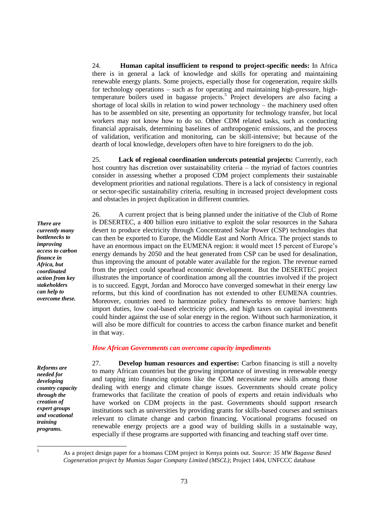24. **Human capital insufficient to respond to project-specific needs:** In Africa there is in general a lack of knowledge and skills for operating and maintaining renewable energy plants. Some projects, especially those for cogeneration, require skills for technology operations – such as for operating and maintaining high-pressure, hightemperature boilers used in bagasse projects.<sup>5</sup> Project developers are also facing a shortage of local skills in relation to wind power technology – the machinery used often has to be assembled on site, presenting an opportunity for technology transfer, but local workers may not know how to do so. Other CDM related tasks, such as conducting financial appraisals, determining baselines of anthropogenic emissions, and the process of validation, verification and monitoring, can be skill-intensive; but because of the dearth of local knowledge, developers often have to hire foreigners to do the job.

25. **Lack of regional coordination undercuts potential projects:** Currently, each host country has discretion over sustainability criteria – the myriad of factors countries consider in assessing whether a proposed CDM project complements their sustainable development priorities and national regulations. There is a lack of consistency in regional or sector-specific sustainability criteria, resulting in increased project development costs and obstacles in project duplication in different countries.

26. A current project that is being planned under the initiative of the Club of Rome is DESERTEC, a 400 billion euro initiative to exploit the solar resources in the Sahara desert to produce electricity through Concentrated Solar Power (CSP) technologies that can then be exported to Europe, the Middle East and North Africa. The project stands to have an enormous impact on the EUMENA region: it would meet 15 percent of Europe's energy demands by 2050 and the heat generated from CSP can be used for desalination, thus improving the amount of potable water available for the region. The revenue earned from the project could spearhead economic development. But the DESERTEC project illustrates the importance of coordination among all the countries involved if the project is to succeed. Egypt, Jordan and Morocco have converged somewhat in their energy law reforms, but this kind of coordination has not extended to other EUMENA countries. Moreover, countries need to harmonize policy frameworks to remove barriers: high import duties, low coal-based electricity prices, and high taxes on capital investments could hinder against the use of solar energy in the region. Without such harmonization, it will also be more difficult for countries to access the carbon finance market and benefit in that way.

#### *How African Governments can overcome capacity impediments*

*Reforms are needed for developing country capacity through the creation of expert groups and vocational training programs.*

27. **Develop human resources and expertise:** Carbon financing is still a novelty to many African countries but the growing importance of investing in renewable energy and tapping into financing options like the CDM necessitate new skills among those dealing with energy and climate change issues. Governments should create policy frameworks that facilitate the creation of pools of experts and retain individuals who have worked on CDM projects in the past. Governments should support research institutions such as universities by providing grants for skills-based courses and seminars relevant to climate change and carbon financing. Vocational programs focused on renewable energy projects are a good way of building skills in a sustainable way, especially if these programs are supported with financing and teaching staff over time.

 $\overline{\mathbf{5}}$ 

*currently many bottlenecks to improving access to carbon finance in Africa, but coordinated action from key stakeholders can help to overcome these.*

*There are* 

<sup>5</sup> As a project design paper for a biomass CDM project in Kenya points out. *Source: 35 MW Bagasse Based Cogeneration project by Mumias Sugar Company Limited (MSCL)*; Project 1404, UNFCCC database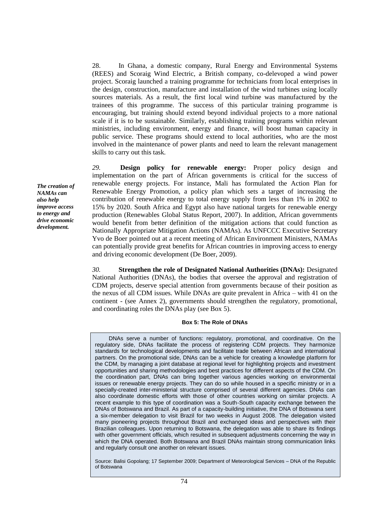28. In Ghana, a domestic company, Rural Energy and Environmental Systems (REES) and Scoraig Wind Electric, a British company, co-delevoped a wind power project. Scoraig launched a training programme for technicians from local enterprises in the design, construction, manufacture and installation of the wind turbines using locally sources materials. As a result, the first local wind turbine was manufactured by the trainees of this programme. The success of this particular training programme is encouraging, but training should extend beyond individual projects to a more national scale if it is to be sustainable. Similarly, establishing training programs within relevant ministries, including environment, energy and finance, will boost human capacity in public service. These programs should extend to local authorities, who are the most involved in the maintenance of power plants and need to learn the relevant management skills to carry out this task.

*29.* **Design policy for renewable energy:** Proper policy design and implementation on the part of African governments is critical for the success of renewable energy projects. For instance, Mali has formulated the Action Plan for Renewable Energy Promotion, a policy plan which sets a target of increasing the contribution of renewable energy to total energy supply from less than 1% in 2002 to 15% by 2020. South Africa and Egypt also have national targets for renewable energy production (Renewables Global Status Report, 2007). In addition, African governments would benefit from better definition of the mitigation actions that could function as Nationally Appropriate Mitigation Actions (NAMAs). As UNFCCC Executive Secretary Yvo de Boer pointed out at a recent meeting of African Environment Ministers, NAMAs can potentially provide great benefits for African countries in improving access to energy and driving economic development (De Boer, 2009).

*30.* **Strengthen the role of Designated National Authorities (DNAs):** Designated National Authorities (DNAs), the bodies that oversee the approval and registration of CDM projects, deserve special attention from governments because of their position as the nexus of all CDM issues. While DNAs are quite prevalent in Africa – with 41 on the continent - (see Annex 2), governments should strengthen the regulatory, promotional, and coordinating roles the DNAs play (see Box 5).

#### **Box 5: The Role of DNAs**

DNAs serve a number of functions: regulatory, promotional, and coordinative. On the regulatory side, DNAs facilitate the process of registering CDM projects. They harmonize standards for technological developments and facilitate trade between African and international partners. On the promotional side, DNAs can be a vehicle for creating a knowledge platform for the CDM, by managing a joint database at regional level for highlighting projects and investment opportunities and sharing methodologies and best practices for different aspects of the CDM. On the coordination part, DNAs can bring together various agencies working on environmental issues or renewable energy projects. They can do so while housed in a specific ministry or in a specially-created inter-ministerial structure comprised of several different agencies. DNAs can also coordinate domestic efforts with those of other countries working on similar projects. A recent example to this type of coordination was a South-South capacity exchange between the DNAs of Botswana and Brazil. As part of a capacity-building initiative, the DNA of Botswana sent a six-member delegation to visit Brazil for two weeks in August 2008. The delegation visited many pioneering projects throughout Brazil and exchanged ideas and perspectives with their Brazilian colleagues. Upon returning to Botswana, the delegation was able to share its findings with other government officials, which resulted in subsequent adjustments concerning the way in which the DNA operated. Both Botswana and Brazil DNAs maintain strong communication links and regularly consult one another on relevant issues.

Source: Balisi Gopolang; 17 September 2009; Department of Meteorological Services – DNA of the Republic of Botswana

*The creation of NAMAs can also help improve access to energy and drive economic development.*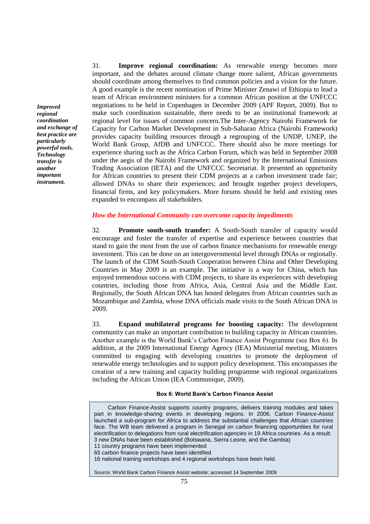*Improved regional coordination and exchange of best practice are particularly powerful tools. Technology transfer is another important instrument.*

31. **Improve regional coordination:** As renewable energy becomes more important, and the debates around climate change more salient, African governments should coordinate among themselves to find common policies and a vision for the future. A good example is the recent nomination of Prime Minister Zenawi of Ethiopia to lead a team of African environment ministers for a common African position at the UNFCCC negotiations to be held in Copenhagen in December 2009 (APF Report, 2009). But to make such coordination sustainable, there needs to be an institutional framework at regional level for issues of common concern.The Inter-Agency Nairobi Framework for Capacity for Carbon Market Development in Sub-Saharan Africa (Nairobi Framework) provides capacity building resources through a regrouping of the UNDP, UNEP, the World Bank Group, AfDB and UNFCCC. There should also be more meetings for experience sharing such as the Africa Carbon Forum, which was held in September 2008 under the aegis of the Nairobi Framework and organized by the International Emissions Trading Association (IETA) and the UNFCCC Secretariat. It presented an opportunity for African countries to present their CDM projects at a carbon investment trade fair; allowed DNAs to share their experiences; and brought together project developers, financial firms, and key policymakers. More forums should be held and existing ones expanded to encompass all stakeholders.

#### *How the International Community can overcome capacity impediments*

32. **Promote south-south transfer:** A South-South transfer of capacity would encourage and foster the transfer of expertise and experience between countries that stand to gain the most from the use of carbon finance mechanisms for renewable energy investment. This can be done on an intergovernmental level through DNAs or regionally. The launch of the CDM South-South Cooperation between China and Other Developing Countries in May 2009 is an example. The initiative is a way for China, which has enjoyed tremendous success with CDM projects, to share its experiences with developing countries, including those from Africa, Asia, Central Asia and the Middle East. Regionally, the South African DNA has hosted delegates from African countries such as Mozambique and Zambia, whose DNA officials made visits to the South African DNA in 2009.

33. **Expand multilateral programs for boosting capacity:** The development community can make an important contribution to building capacity in African countries. Another example is the World Bank's Carbon Finance Assist Programme (see Box 6). In addition, at the 2009 International Energy Agency (IEA) Ministerial meeting, Ministers committed to engaging with developing countries to promote the deployment of renewable energy technologies and to support policy development. This encompasses the creation of a new training and capacity building programme with regional organizations including the African Union (IEA Communique, 2009).

#### **Box 6: World Bank's Carbon Finance Assist**

| Carbon Finance-Assist supports country programs, delivers training modules and takes<br>part in knowledge-sharing events in developing regions. In 2006, Carbon Finance-Assist<br>launched a sub-program for Africa to address the substantial challenges that African countries<br>face. The WB team delivered a program in Senegal on carbon financing opportunities for rural<br>electrification to delegations from rural electrification agencies in 19 Africa countries. As a result:<br>3 new DNAs have been established (Botswana, Sierra Leone, and the Gambia)<br>11 country programs have been implemented<br>65 carbon finance projects have been identified<br>16 national training workshops and 4 regional workshops have been held. |
|-----------------------------------------------------------------------------------------------------------------------------------------------------------------------------------------------------------------------------------------------------------------------------------------------------------------------------------------------------------------------------------------------------------------------------------------------------------------------------------------------------------------------------------------------------------------------------------------------------------------------------------------------------------------------------------------------------------------------------------------------------|
| Source: World Bank Carbon Finance Assist website; accessed 14 September 2009                                                                                                                                                                                                                                                                                                                                                                                                                                                                                                                                                                                                                                                                        |
|                                                                                                                                                                                                                                                                                                                                                                                                                                                                                                                                                                                                                                                                                                                                                     |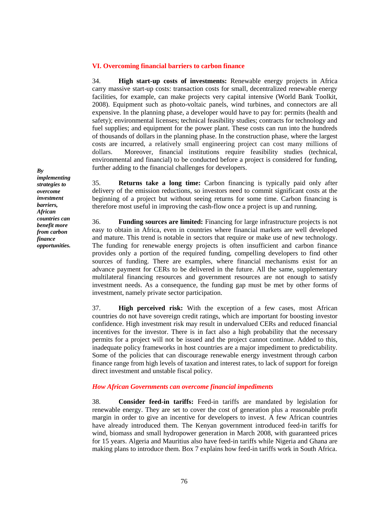#### **VI. Overcoming financial barriers to carbon finance**

34. **High start-up costs of investments:** Renewable energy projects in Africa carry massive start-up costs: transaction costs for small, decentralized renewable energy facilities, for example, can make projects very capital intensive (World Bank Toolkit, 2008). Equipment such as photo-voltaic panels, wind turbines, and connectors are all expensive. In the planning phase, a developer would have to pay for: permits (health and safety); environmental licenses; technical feasibility studies; contracts for technology and fuel supplies; and equipment for the power plant. These costs can run into the hundreds of thousands of dollars in the planning phase. In the construction phase, where the largest costs are incurred, a relatively small engineering project can cost many millions of dollars. Moreover, financial institutions require feasibility studies (technical, environmental and financial) to be conducted before a project is considered for funding, further adding to the financial challenges for developers.

35. **Returns take a long time:** Carbon financing is typically paid only after delivery of the emission reductions, so investors need to commit significant costs at the beginning of a project but without seeing returns for some time. Carbon financing is therefore most useful in improving the cash-flow once a project is up and running.

36. **Funding sources are limited:** Financing for large infrastructure projects is not easy to obtain in Africa, even in countries where financial markets are well developed and mature. This trend is notable in sectors that require or make use of new technology. The funding for renewable energy projects is often insufficient and carbon finance provides only a portion of the required funding, compelling developers to find other sources of funding. There are examples, where financial mechanisms exist for an advance payment for CERs to be delivered in the future. All the same, supplementary multilateral financing resources and government resources are not enough to satisfy investment needs. As a consequence, the funding gap must be met by other forms of investment, namely private sector participation.

37. **High perceived risk:** With the exception of a few cases, most African countries do not have sovereign credit ratings, which are important for boosting investor confidence. High investment risk may result in undervalued CERs and reduced financial incentives for the investor. There is in fact also a high probability that the necessary permits for a project will not be issued and the project cannot continue. Added to this, inadequate policy frameworks in host countries are a major impediment to predictability. Some of the policies that can discourage renewable energy investment through carbon finance range from high levels of taxation and interest rates, to lack of support for foreign direct investment and unstable fiscal policy.

#### *How African Governments can overcome financial impediments*

38. **Consider feed-in tariffs:** Feed-in tariffs are mandated by legislation for renewable energy. They are set to cover the cost of generation plus a reasonable profit margin in order to give an incentive for developers to invest. A few African countries have already introduced them. The Kenyan government introduced feed-in tariffs for wind, biomass and small hydropower generation in March 2008, with guaranteed prices for 15 years. Algeria and Mauritius also have feed-in tariffs while Nigeria and Ghana are making plans to introduce them. Box 7 explains how feed-in tariffs work in South Africa.

*By implementing strategies to overcome investment barriers, African countries can benefit more from carbon finance opportunities.*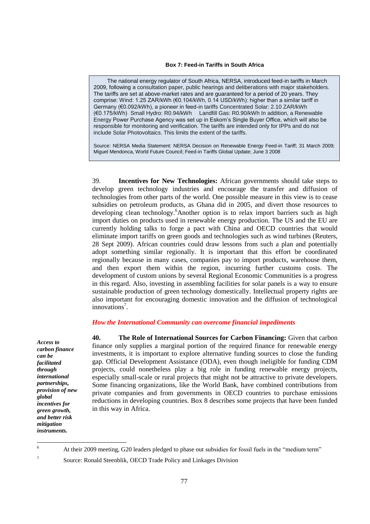#### **Box 7: Feed-in Tariffs in South Africa**

The national energy regulator of South Africa, NERSA, introduced feed-in tariffs in March 2009, following a consultation paper, public hearings and deliberations with major stakeholders. The tariffs are set at above-market rates and are guaranteed for a period of 20 years. They comprise: Wind: 1.25 ZAR/kWh (€0.104/kWh, 0.14 USD/kWh): higher than a similar tariff in Germany (€0.092/kWh), a pioneer in feed-in tariffs Concentrated Solar: 2.10 ZAR/kWh (€0.175/kWh) Small Hydro: R0.94/kWh Landfill Gas: R0.90/kWh In addition, a Renewable Energy Power Purchase Agency was set up in Eskom's Single Buyer Office, which will also be responsible for monitoring and verification. The tariffs are intended only for IPPs and do not include Solar Photovoltaics. This limits the extent of the tariffs.

Source: NERSA Media Statement: NERSA Decision on Renewable Energy Feed-in Tariff; 31 March 2009; Miguel Mendonca, World Future Council; Feed-in Tariffs Global Update; June 3 2008

39. **Incentives for New Technologies:** African governments should take steps to develop green technology industries and encourage the transfer and diffusion of technologies from other parts of the world. One possible measure in this view is to cease subsidies on petroleum products, as Ghana did in 2005, and divert those resources to developing clean technology.<sup>6</sup>Another option is to relax import barriers such as high import duties on products used in renewable energy production. The US and the EU are currently holding talks to forge a pact with China and OECD countries that would eliminate import tariffs on green goods and technologies such as wind turbines (Reuters, 28 Sept 2009). African countries could draw lessons from such a plan and potentially adopt something similar regionally. It is important that this effort be coordinated regionally because in many cases, companies pay to import products, warehouse them, and then export them within the region, incurring further customs costs. The development of custom unions by several Regional Economic Communities is a progress in this regard. Also, investing in assembling facilities for solar panels is a way to ensure sustainable production of green technology domestically. Intellectual property rights are also important for encouraging domestic innovation and the diffusion of technological innovations<sup>7</sup>.

#### *How the International Community can overcome financial impediments*

*Access to carbon finance can be facilitated through international partnerships, provision of new global incentives for green growth, and better risk mitigation instruments.*

7

**40. The Role of International Sources for Carbon Financing:** Given that carbon finance only supplies a marginal portion of the required finance for renewable energy investments, it is important to explore alternative funding sources to close the funding gap. Official Development Assistance (ODA), even though ineligible for funding CDM projects, could nonetheless play a big role in funding renewable energy projects, especially small-scale or rural projects that might not be attractive to private developers. Some financing organizations, like the World Bank, have combined contributions from private companies and from governments in OECD countries to purchase emissions reductions in developing countries. Box 8 describes some projects that have been funded in this way in Africa.

 $\overline{6}$ At their 2009 meeting, G20 leaders pledged to phase out subsidies for fossil fuels in the "medium term"

Source: Ronald Steenblik, OECD Trade Policy and Linkages Division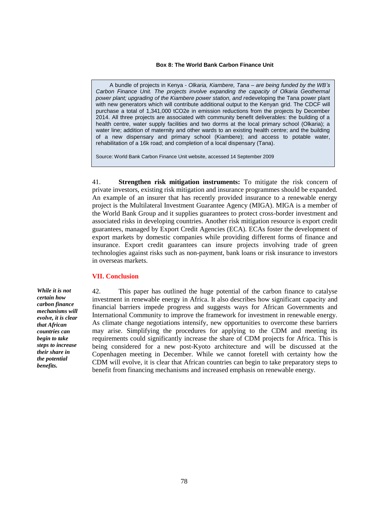#### **Box 8: The World Bank Carbon Finance Unit**

A bundle of projects in Kenya - *Olkaria, Kiambere, Tana – are being funded by the WB's*  Carbon Finance Unit. The projects involve expanding the capacity of Olkaria Geothermal *power plant; upgrading of the Kiambere power station, and r*edeveloping the Tana power plant with new generators which will contribute additional output to the Kenyan grid. The CDCF will purchase a total of 1,341,000 tCO2e in emission reductions from the projects by December 2014. All three projects are associated with community benefit deliverables: the building of a health centre, water supply facilities and two dorms at the local primary school (Olkaria); a water line; addition of maternity and other wards to an existing health centre; and the building of a new dispensary and primary school (Kiambere); and access to potable water, rehabilitation of a 16k road; and completion of a local dispensary (Tana).

Source: World Bank Carbon Finance Unit website, accessed 14 September 2009

41. **Strengthen risk mitigation instruments:** To mitigate the risk concern of private investors, existing risk mitigation and insurance programmes should be expanded. An example of an insurer that has recently provided insurance to a renewable energy project is the Multilateral Investment Guarantee Agency (MIGA). MIGA is a member of the World Bank Group and it supplies guarantees to protect cross-border investment and associated risks in developing countries. Another risk mitigation resource is export credit guarantees, managed by Export Credit Agencies (ECA). ECAs foster the development of export markets by domestic companies while providing different forms of finance and insurance. Export credit guarantees can insure projects involving trade of green technologies against risks such as non-payment, bank loans or risk insurance to investors in overseas markets.

## **VII. Conclusion**

*While it is not certain how carbon finance mechanisms will evolve, it is clear that African countries can begin to take steps to increase their share in the potential benefits.*

42. This paper has outlined the huge potential of the carbon finance to catalyse investment in renewable energy in Africa. It also describes how significant capacity and financial barriers impede progress and suggests ways for African Governments and International Community to improve the framework for investment in renewable energy. As climate change negotiations intensify, new opportunities to overcome these barriers may arise. Simplifying the procedures for applying to the CDM and meeting its requirements could significantly increase the share of CDM projects for Africa. This is being considered for a new post-Kyoto architecture and will be discussed at the Copenhagen meeting in December. While we cannot foretell with certainty how the CDM will evolve, it is clear that African countries can begin to take preparatory steps to benefit from financing mechanisms and increased emphasis on renewable energy.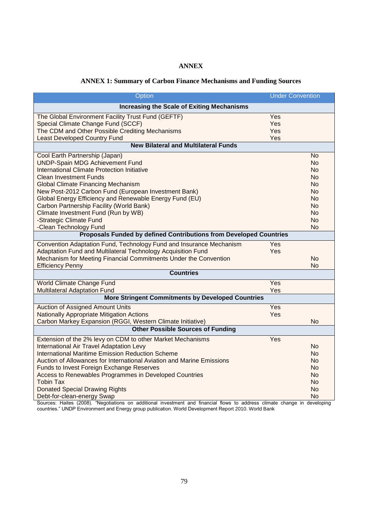# **ANNEX**

## **ANNEX 1: Summary of Carbon Finance Mechanisms and Funding Sources**

| Option                                                                                       | <b>Under Convention</b> |  |  |  |  |
|----------------------------------------------------------------------------------------------|-------------------------|--|--|--|--|
| <b>Increasing the Scale of Exiting Mechanisms</b>                                            |                         |  |  |  |  |
| The Global Environment Facility Trust Fund (GEFTF)                                           | Yes                     |  |  |  |  |
| Special Climate Change Fund (SCCF)                                                           | Yes                     |  |  |  |  |
| The CDM and Other Possible Crediting Mechanisms                                              | Yes                     |  |  |  |  |
| <b>Least Developed Country Fund</b>                                                          | Yes                     |  |  |  |  |
| <b>New Bilateral and Multilateral Funds</b>                                                  |                         |  |  |  |  |
| Cool Earth Partnership (Japan)                                                               | <b>No</b>               |  |  |  |  |
| <b>UNDP-Spain MDG Achievement Fund</b>                                                       | <b>No</b>               |  |  |  |  |
| <b>International Climate Protection Initiative</b>                                           | No.                     |  |  |  |  |
| <b>Clean Investment Funds</b>                                                                | No.                     |  |  |  |  |
| <b>Global Climate Financing Mechanism</b>                                                    | No.                     |  |  |  |  |
| New Post-2012 Carbon Fund (European Investment Bank)                                         | No.                     |  |  |  |  |
| Global Energy Efficiency and Renewable Energy Fund (EU)                                      | No.                     |  |  |  |  |
| Carbon Partnership Facility (World Bank)                                                     | N <sub>o</sub>          |  |  |  |  |
| Climate Investment Fund (Run by WB)                                                          | <b>No</b>               |  |  |  |  |
| -Strategic Climate Fund                                                                      | No<br><b>No</b>         |  |  |  |  |
| -Clean Technology Fund<br>Proposals Funded by defined Contributions from Developed Countries |                         |  |  |  |  |
|                                                                                              |                         |  |  |  |  |
| Convention Adaptation Fund, Technology Fund and Insurance Mechanism                          | Yes                     |  |  |  |  |
| Adaptation Fund and Multilateral Technology Acquisition Fund                                 | Yes                     |  |  |  |  |
| Mechanism for Meeting Financial Commitments Under the Convention                             | N <sub>o</sub>          |  |  |  |  |
| <b>Efficiency Penny</b><br><b>Countries</b>                                                  | <b>No</b>               |  |  |  |  |
|                                                                                              |                         |  |  |  |  |
| <b>World Climate Change Fund</b>                                                             | Yes                     |  |  |  |  |
| <b>Multilateral Adaptation Fund</b>                                                          | Yes                     |  |  |  |  |
| <b>More Stringent Commitments by Developed Countries</b>                                     |                         |  |  |  |  |
| <b>Auction of Assigned Amount Units</b>                                                      | Yes                     |  |  |  |  |
| <b>Nationally Appropriate Mitigation Actions</b>                                             | Yes                     |  |  |  |  |
| Carbon Markey Expansion (RGGI, Western Climate Initiative)                                   | No                      |  |  |  |  |
| <b>Other Possible Sources of Funding</b>                                                     |                         |  |  |  |  |
| Extension of the 2% levy on CDM to other Market Mechanisms                                   | Yes                     |  |  |  |  |
| <b>International Air Travel Adaptation Levy</b>                                              | <b>No</b>               |  |  |  |  |
| <b>International Maritime Emission Reduction Scheme</b>                                      | No.                     |  |  |  |  |
| Auction of Allowances for International Aviation and Marine Emissions                        | No.                     |  |  |  |  |
| <b>Funds to Invest Foreign Exchange Reserves</b>                                             | No.                     |  |  |  |  |
| Access to Renewables Programmes in Developed Countries                                       | No.                     |  |  |  |  |
| <b>Tobin Tax</b>                                                                             | No.                     |  |  |  |  |
| <b>Donated Special Drawing Rights</b>                                                        | No                      |  |  |  |  |
| Debt-for-clean-energy Swap                                                                   | No                      |  |  |  |  |

Sources: Haites (2008). "Negotiations on additional investment and financial flows to address climate change in developing countries.‖ UNDP Environment and Energy group publication. World Development Report 2010. World Bank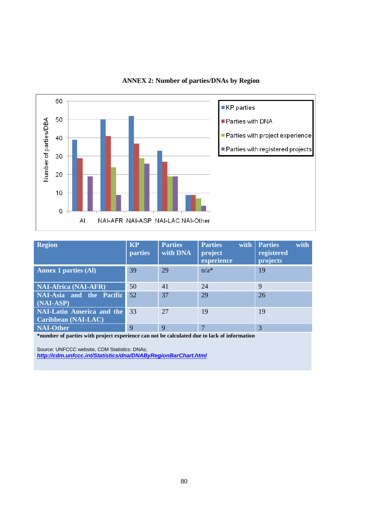

# **ANNEX 2: Number of parties/DNAs by Region**

| <b>Region</b>                                                  | <b>KP</b><br><b>parties</b> | <b>Parties</b><br>with DNA | <b>Parties</b><br>with<br>project<br>experience | <b>Parties</b><br>with<br>registered<br>projects |
|----------------------------------------------------------------|-----------------------------|----------------------------|-------------------------------------------------|--------------------------------------------------|
| <b>Annex 1 parties (Al)</b>                                    | 39                          | 29                         | $n/a^*$                                         | 19                                               |
| <b>NAI-Africa (NAI-AFR)</b>                                    | 50                          | 41                         | 24                                              | 9                                                |
| NAI-Asia and the Pacific<br>$(NAI-ASP)$                        | 52                          | 37                         | 29                                              | 26                                               |
| <b>NAI-Latin America and the</b><br><b>Caribbean (NAI-LAC)</b> | 33                          | 27                         | 19                                              | 19                                               |
| <b>NAI-Other</b>                                               | 9                           | 9                          | ⇁                                               | 3                                                |

**\*number of parties with project experience can not be calculated due to lack of information**

Source: UNFCCC website, CDM Statistics: DNAs; *<http://cdm.unfccc.int/Statistics/dna/DNAByRegionBarChart.html>*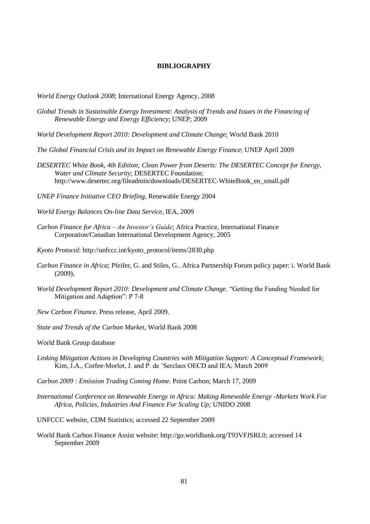#### **BIBLIOGRAPHY**

*World Energy Outlook 2008*; International Energy Agency, 2008

- *Global Trends in Sustainable Energy Investment: Analysis of Trends and Issues in the Financing of Renewable Energy and Energy Efficiency*; UNEP; 2009
- *World Development Report 2010: Development and Climate Change*; World Bank 2010
- *The Global Financial Crisis and its Impact on Renewable Energy Finance*; UNEP April 2009
- *DESERTEC White Book, 4th Edition; Clean Power from Deserts: The DESERTEC Concept for Energy, Water and Climate Security*; DESERTEC Foundation; [http://www.desertec.org/fileadmin/downloads/DESERTEC-WhiteBook\\_en\\_small.pdf](http://www.desertec.org/fileadmin/downloads/DESERTEC-WhiteBook_en_small.pdf)
- *UNEP Finance Initiative CEO Briefing*, Renewable Energy 2004
- *World Energy Balances On-line Data Service*, IEA, 2009
- *Carbon Finance for Africa – An Investor's Guide*; Africa Practice, International Finance Corporation/Canadian International Development Agency, 2005
- *Kyoto Protocol*: [http://unfccc.int/kyoto\\_protocol/items/2830.php](http://unfccc.int/kyoto_protocol/items/2830.php)
- *Carbon Finance in Africa*; Pfeifer, G. and Stiles, G.. Africa Partnership Forum policy paper: i. World Bank (2009),
- *World Development Report 2010: Development and Climate Change.* "Getting the Funding Needed for Mitigation and Adaption": P 7-8
- *New Carbon Finance*. Press release, April 2009.
- *State and Trends of the Carbon Market*, World Bank 2008
- World Bank Group database
- *Linking Mitigation Actions in Developing Countries with Mitigation Support: A Conceptual Framework*; Kim, J.A., Corfee-Morlot, J. and P. de 'Serclaes OECD and IEA; March 2009
- *Carbon 2009 : Emission Trading Coming Home*. Point Carbon; March 17, 2009
- *International Conference on Renewable Energy in Africa: Making Renewable Energy -Markets Work For Africa, Policies, Industries And Finance For Scaling Up;* UNIDO 2008
- UNFCCC website, CDM Statistics; accessed 22 September 2009
- World Bank Carbon Finance Assist website: [http://go.worldbank.org/T93VFJSRL0;](http://go.worldbank.org/T93VFJSRL0) accessed 14 September 2009